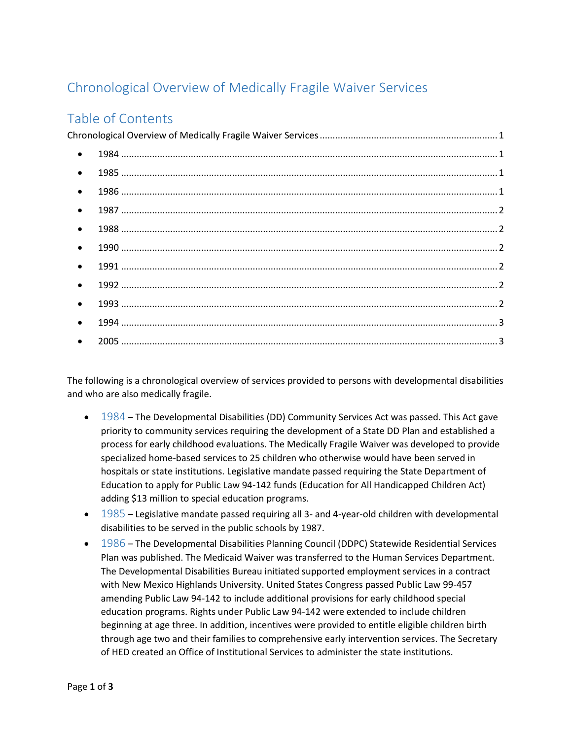## <span id="page-0-0"></span>Chronological Overview of Medically Fragile Waiver Services

## Table of Contents

| $\bullet$ |  |
|-----------|--|
| $\bullet$ |  |
| $\bullet$ |  |
| $\bullet$ |  |
| $\bullet$ |  |
| $\bullet$ |  |
| $\bullet$ |  |
| $\bullet$ |  |
| $\bullet$ |  |
| $\bullet$ |  |
| $\bullet$ |  |

The following is a chronological overview of services provided to persons with developmental disabilities and who are also medically fragile.

- <span id="page-0-1"></span>• 1984 – The Developmental Disabilities (DD) Community Services Act was passed. This Act gave priority to community services requiring the development of a State DD Plan and established a process for early childhood evaluations. The Medically Fragile Waiver was developed to provide specialized home-based services to 25 children who otherwise would have been served in hospitals or state institutions. Legislative mandate passed requiring the State Department of Education to apply for Public Law 94-142 funds (Education for All Handicapped Children Act) adding \$13 million to special education programs.
- <span id="page-0-2"></span> $\bullet$  1985 – Legislative mandate passed requiring all 3- and 4-year-old children with developmental disabilities to be served in the public schools by 1987.
- <span id="page-0-3"></span> 1986 – The Developmental Disabilities Planning Council (DDPC) Statewide Residential Services Plan was published. The Medicaid Waiver was transferred to the Human Services Department. The Developmental Disabilities Bureau initiated supported employment services in a contract with New Mexico Highlands University. United States Congress passed Public Law 99-457 amending Public Law 94-142 to include additional provisions for early childhood special education programs. Rights under Public Law 94-142 were extended to include children beginning at age three. In addition, incentives were provided to entitle eligible children birth through age two and their families to comprehensive early intervention services. The Secretary of HED created an Office of Institutional Services to administer the state institutions.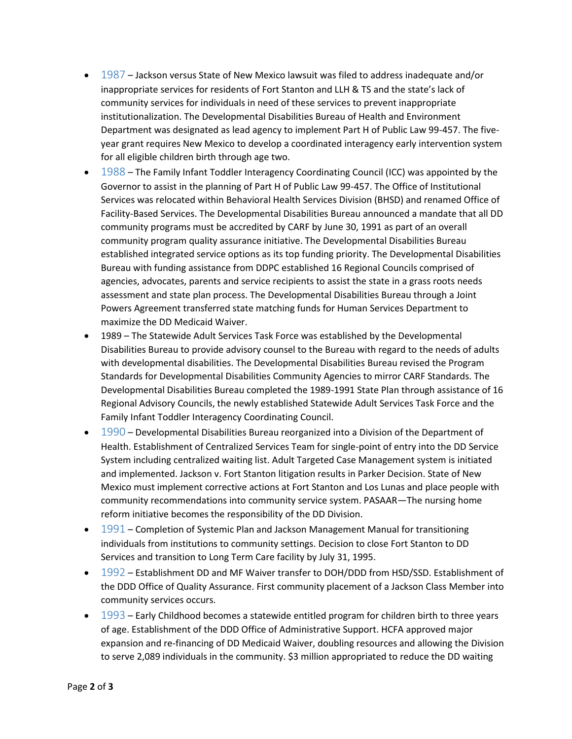- <span id="page-1-0"></span> $\bullet$  1987 – Jackson versus State of New Mexico lawsuit was filed to address inadequate and/or inappropriate services for residents of Fort Stanton and LLH & TS and the state's lack of community services for individuals in need of these services to prevent inappropriate institutionalization. The Developmental Disabilities Bureau of Health and Environment Department was designated as lead agency to implement Part H of Public Law 99-457. The fiveyear grant requires New Mexico to develop a coordinated interagency early intervention system for all eligible children birth through age two.
- <span id="page-1-1"></span>• 1988 – The Family Infant Toddler Interagency Coordinating Council (ICC) was appointed by the Governor to assist in the planning of Part H of Public Law 99-457. The Office of Institutional Services was relocated within Behavioral Health Services Division (BHSD) and renamed Office of Facility-Based Services. The Developmental Disabilities Bureau announced a mandate that all DD community programs must be accredited by CARF by June 30, 1991 as part of an overall community program quality assurance initiative. The Developmental Disabilities Bureau established integrated service options as its top funding priority. The Developmental Disabilities Bureau with funding assistance from DDPC established 16 Regional Councils comprised of agencies, advocates, parents and service recipients to assist the state in a grass roots needs assessment and state plan process. The Developmental Disabilities Bureau through a Joint Powers Agreement transferred state matching funds for Human Services Department to maximize the DD Medicaid Waiver.
- 1989 The Statewide Adult Services Task Force was established by the Developmental Disabilities Bureau to provide advisory counsel to the Bureau with regard to the needs of adults with developmental disabilities. The Developmental Disabilities Bureau revised the Program Standards for Developmental Disabilities Community Agencies to mirror CARF Standards. The Developmental Disabilities Bureau completed the 1989-1991 State Plan through assistance of 16 Regional Advisory Councils, the newly established Statewide Adult Services Task Force and the Family Infant Toddler Interagency Coordinating Council.
- <span id="page-1-2"></span>• 1990 – Developmental Disabilities Bureau reorganized into a Division of the Department of Health. Establishment of Centralized Services Team for single-point of entry into the DD Service System including centralized waiting list. Adult Targeted Case Management system is initiated and implemented. Jackson v. Fort Stanton litigation results in Parker Decision. State of New Mexico must implement corrective actions at Fort Stanton and Los Lunas and place people with community recommendations into community service system. PASAAR—The nursing home reform initiative becomes the responsibility of the DD Division.
- <span id="page-1-3"></span>• 1991 – Completion of Systemic Plan and Jackson Management Manual for transitioning individuals from institutions to community settings. Decision to close Fort Stanton to DD Services and transition to Long Term Care facility by July 31, 1995.
- <span id="page-1-4"></span>• 1992 – Establishment DD and MF Waiver transfer to DOH/DDD from HSD/SSD. Establishment of the DDD Office of Quality Assurance. First community placement of a Jackson Class Member into community services occurs.
- <span id="page-1-5"></span>• 1993 – Early Childhood becomes a statewide entitled program for children birth to three years of age. Establishment of the DDD Office of Administrative Support. HCFA approved major expansion and re-financing of DD Medicaid Waiver, doubling resources and allowing the Division to serve 2,089 individuals in the community. \$3 million appropriated to reduce the DD waiting